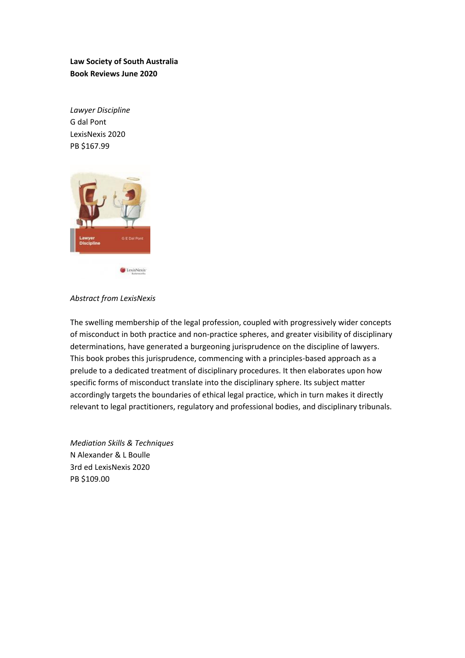**Law Society of South Australia Book Reviews June 2020**

*Lawyer Discipline* G dal Pont LexisNexis 2020 PB \$167.99



*Abstract from LexisNexis*

The swelling membership of the legal profession, coupled with progressively wider concepts of misconduct in both practice and non-practice spheres, and greater visibility of disciplinary determinations, have generated a burgeoning jurisprudence on the discipline of lawyers. This book probes this jurisprudence, commencing with a principles-based approach as a prelude to a dedicated treatment of disciplinary procedures. It then elaborates upon how specific forms of misconduct translate into the disciplinary sphere. Its subject matter accordingly targets the boundaries of ethical legal practice, which in turn makes it directly relevant to legal practitioners, regulatory and professional bodies, and disciplinary tribunals.

*Mediation Skills & Techniques* N Alexander & L Boulle 3rd ed LexisNexis 2020 PB \$109.00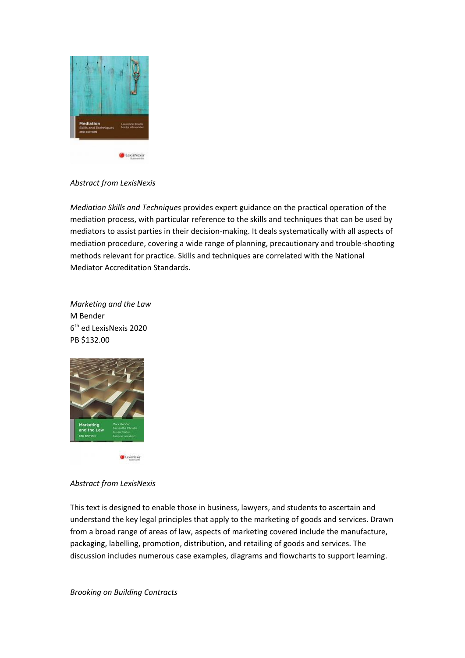

## *Abstract from LexisNexis*

*Mediation Skills and Techniques* provides expert guidance on the practical operation of the mediation process, with particular reference to the skills and techniques that can be used by mediators to assist parties in their decision-making. It deals systematically with all aspects of mediation procedure, covering a wide range of planning, precautionary and trouble-shooting methods relevant for practice. Skills and techniques are correlated with the National Mediator Accreditation Standards.

*Marketing and the Law* M Bender 6 th ed LexisNexis 2020 PB \$132.00



## *Abstract from LexisNexis*

This text is designed to enable those in business, lawyers, and students to ascertain and understand the key legal principles that apply to the marketing of goods and services. Drawn from a broad range of areas of law, aspects of marketing covered include the manufacture, packaging, labelling, promotion, distribution, and retailing of goods and services. The discussion includes numerous case examples, diagrams and flowcharts to support learning.

*Brooking on Building Contracts*